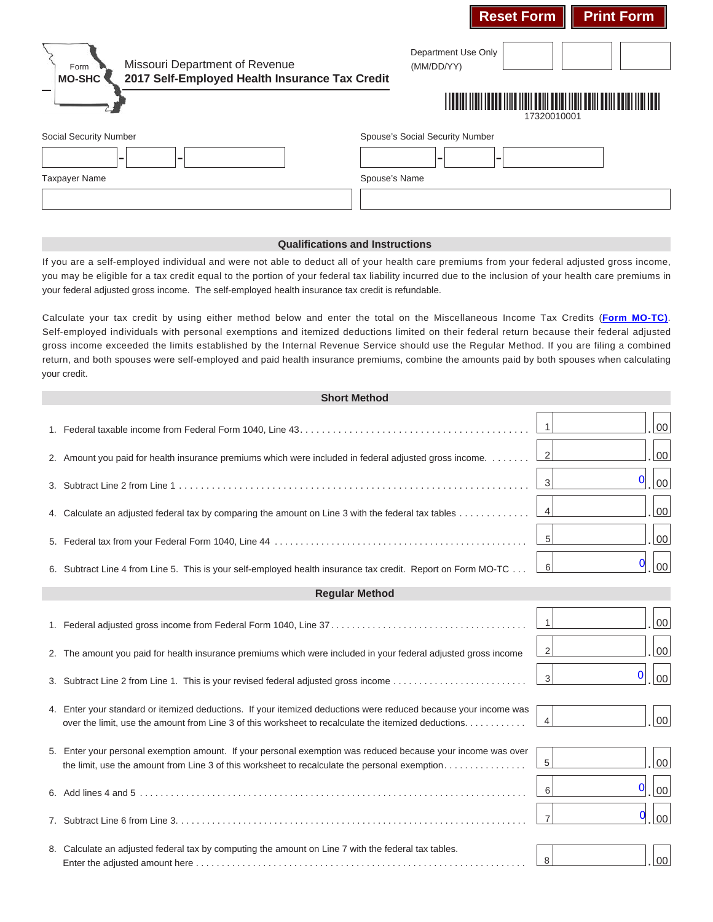| Missouri Department of Revenue<br>Form<br>2017 Self-Employed Health Insurance Tax Credit<br><b>MO-SHC</b> | Department Use Only<br>(MM/DD/YY)                                          |
|-----------------------------------------------------------------------------------------------------------|----------------------------------------------------------------------------|
|                                                                                                           | <u> 11 MAADI 11 MAADI 11 MAA 11 MAA 11 MAA 11 MAA 12 MA</u><br>17320010001 |
| Social Security Number<br>-<br>-<br>Taxpayer Name                                                         | Spouse's Social Security Number<br>۰<br>Spouse's Name                      |
|                                                                                                           |                                                                            |

**Reset Form Print Form** 

## **Qualifications and Instructions**

If you are a self-employed individual and were not able to deduct all of your health care premiums from your federal adjusted gross income, you may be eligible for a tax credit equal to the portion of your federal tax liability incurred due to the inclusion of your health care premiums in your federal adjusted gross income. The self-employed health insurance tax credit is refundable.

Calculate your tax credit by using either method below and enter the total on the Miscellaneous Income Tax Credits (**Form MO-TC)**. your credit. Self-employed individuals with personal exemptions and itemized deductions limited on their federal return because their federal adjusted gross income exceeded the limits established by the Internal Revenue Service should use the Regular Method. If you are filing a combined return, and both spouses were self-employed and paid health insurance premiums, combine the amounts paid by both spouses when calculating

| <b>Short Method</b>   |                                                                                                                                                                                                                         |                                     |  |
|-----------------------|-------------------------------------------------------------------------------------------------------------------------------------------------------------------------------------------------------------------------|-------------------------------------|--|
|                       |                                                                                                                                                                                                                         | $\overline{1}$<br>$00\,$            |  |
|                       | 2. Amount you paid for health insurance premiums which were included in federal adjusted gross income.                                                                                                                  | $00\,$<br>2                         |  |
|                       |                                                                                                                                                                                                                         | $\mathbf 0$<br>$00\,$<br>3          |  |
|                       | 4. Calculate an adjusted federal tax by comparing the amount on Line 3 with the federal tax tables                                                                                                                      | 00<br>$\overline{4}$                |  |
|                       |                                                                                                                                                                                                                         | $00\,$<br>$\sqrt{5}$                |  |
|                       | 6. Subtract Line 4 from Line 5. This is your self-employed health insurance tax credit. Report on Form MO-TC                                                                                                            | $\bf{0}$<br>00<br>$6 \mid$          |  |
| <b>Regular Method</b> |                                                                                                                                                                                                                         |                                     |  |
|                       |                                                                                                                                                                                                                         | $00\,$<br>$\overline{1}$            |  |
|                       | 2. The amount you paid for health insurance premiums which were included in your federal adjusted gross income                                                                                                          | 00<br>2                             |  |
|                       | 3. Subtract Line 2 from Line 1. This is your revised federal adjusted gross income                                                                                                                                      | $\bf{0}$<br>00<br>3 <sup>1</sup>    |  |
|                       | 4. Enter your standard or itemized deductions. If your itemized deductions were reduced because your income was<br>over the limit, use the amount from Line 3 of this worksheet to recalculate the itemized deductions. | 00<br>$\overline{4}$                |  |
|                       | 5. Enter your personal exemption amount. If your personal exemption was reduced because your income was over<br>the limit, use the amount from Line 3 of this worksheet to recalculate the personal exemption           | $00\,$<br>$\,$ 5 $\,$               |  |
|                       |                                                                                                                                                                                                                         | $\bf{0}$<br>00<br>6                 |  |
|                       |                                                                                                                                                                                                                         | $\mathbf 0$<br>00<br>$\overline{7}$ |  |
|                       | 8. Calculate an adjusted federal tax by computing the amount on Line 7 with the federal tax tables.                                                                                                                     | $00\,$<br>8                         |  |